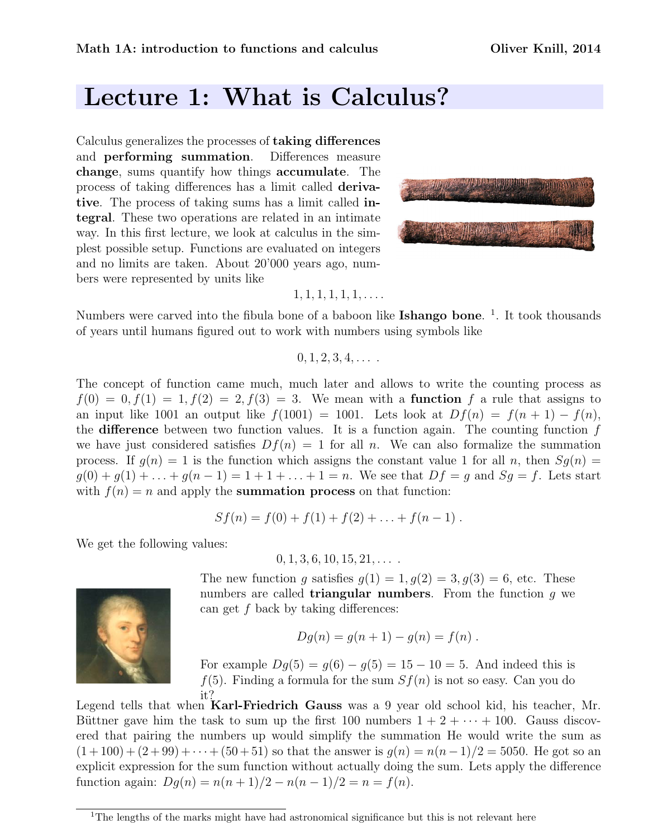## Lecture 1: What is Calculus?

Calculus generalizes the processes of taking differences and performing summation. Differences measure change, sums quantify how things accumulate. The process of taking differences has a limit called derivative. The process of taking sums has a limit called integral. These two operations are related in an intimate way. In this first lecture, we look at calculus in the simplest possible setup. Functions are evaluated on integers and no limits are taken. About 20'000 years ago, numbers were represented by units like



## $1, 1, 1, 1, 1, 1, \ldots$ .

Numbers were carved into the fibula bone of a baboon like **Ishango bone**.<sup>1</sup>. It took thousands of years until humans figured out to work with numbers using symbols like

 $0, 1, 2, 3, 4, \ldots$ 

The concept of function came much, much later and allows to write the counting process as  $f(0) = 0, f(1) = 1, f(2) = 2, f(3) = 3.$  We mean with a **function** f a rule that assigns to an input like 1001 an output like  $f(1001) = 1001$ . Lets look at  $Df(n) = f(n+1) - f(n)$ , the difference between two function values. It is a function again. The counting function  $f$ we have just considered satisfies  $Df(n) = 1$  for all n. We can also formalize the summation process. If  $q(n) = 1$  is the function which assigns the constant value 1 for all n, then  $Sq(n)$  $g(0) + g(1) + \ldots + g(n-1) = 1 + 1 + \ldots + 1 = n$ . We see that  $Df = g$  and  $Sg = f$ . Lets start with  $f(n) = n$  and apply the **summation process** on that function:

$$
Sf(n) = f(0) + f(1) + f(2) + \ldots + f(n-1) .
$$

We get the following values:

 $0, 1, 3, 6, 10, 15, 21, \ldots$ 

The new function g satisfies  $g(1) = 1, g(2) = 3, g(3) = 6$ , etc. These numbers are called **triangular numbers**. From the function  $q$  we can get  $f$  back by taking differences:

$$
Dg(n) = g(n + 1) - g(n) = f(n) .
$$

For example  $Dg(5) = g(6) - g(5) = 15 - 10 = 5$ . And indeed this is  $f(5)$ . Finding a formula for the sum  $Sf(n)$  is not so easy. Can you do

it? Legend tells that when Karl-Friedrich Gauss was a 9 year old school kid, his teacher, Mr. Büttner gave him the task to sum up the first 100 numbers  $1 + 2 + \cdots + 100$ . Gauss discovered that pairing the numbers up would simplify the summation He would write the sum as  $(1+100) + (2+99) + \cdots + (50+51)$  so that the answer is  $g(n) = n(n-1)/2 = 5050$ . He got so an explicit expression for the sum function without actually doing the sum. Lets apply the difference function again:  $Dg(n) = n(n+1)/2 - n(n-1)/2 = n = f(n)$ .



<sup>&</sup>lt;sup>1</sup>The lengths of the marks might have had astronomical significance but this is not relevant here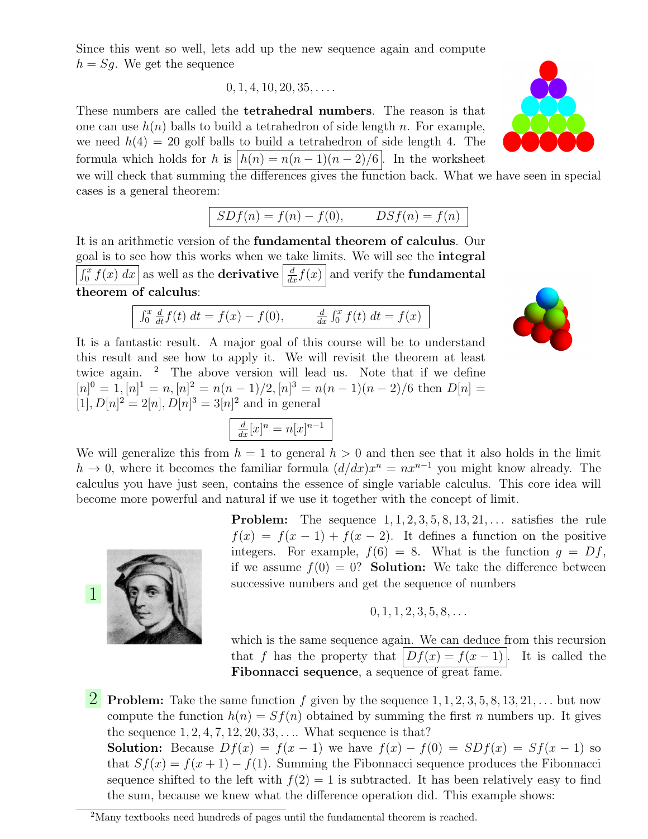Since this went so well, lets add up the new sequence again and compute  $h = Sg$ . We get the sequence

$$
0, 1, 4, 10, 20, 35, \ldots
$$

These numbers are called the tetrahedral numbers. The reason is that one can use  $h(n)$  balls to build a tetrahedron of side length n. For example, we need  $h(4) = 20$  golf balls to build a tetrahedron of side length 4. The formula which holds for h is  $|h(n) = n(n-1)(n-2)/6$ . In the worksheet

we will check that summing the differences gives the function back. What we have seen in special cases is a general theorem:

$$
SDf(n) = f(n) - f(0), \qquad DSf(n) = f(n)
$$

It is an arithmetic version of the fundamental theorem of calculus. Our goal is to see how this works when we take limits. We will see the integral  $\int_0^x f(x) dx$  as well as the **derivative**  $\frac{d}{dx} f(x)$  and verify the **fundamental** theorem of calculus:

$$
\int_0^x \frac{d}{dt} f(t) \, dt = f(x) - f(0), \qquad \frac{d}{dx} \int_0^x f(t) \, dt = f(x)
$$

It is a fantastic result. A major goal of this course will be to understand this result and see how to apply it. We will revisit the theorem at least twice again.  $\frac{2}{1}$  The above version will lead us. Note that if we define  $[n]^0 = 1, [n]^1 = n, [n]^2 = n(n-1)/2, [n]^3 = n(n-1)(n-2)/6$  then  $D[n] =$  $[1], D[n]^2 = 2[n], D[n]^3 = 3[n]^2$  and in general

$$
\frac{d}{dx}[x]^n = n[x]^{n-1}
$$

We will generalize this from  $h = 1$  to general  $h > 0$  and then see that it also holds in the limit  $h \to 0$ , where it becomes the familiar formula  $(d/dx)x^n = nx^{n-1}$  you might know already. The calculus you have just seen, contains the essence of single variable calculus. This core idea will become more powerful and natural if we use it together with the concept of limit.

> **Problem:** The sequence  $1, 1, 2, 3, 5, 8, 13, 21, \ldots$  satisfies the rule  $f(x) = f(x-1) + f(x-2)$ . It defines a function on the positive integers. For example,  $f(6) = 8$ . What is the function  $q = Df$ , if we assume  $f(0) = 0$ ? Solution: We take the difference between successive numbers and get the sequence of numbers

$$
0, 1, 1, 2, 3, 5, 8, \ldots
$$

which is the same sequence again. We can deduce from this recursion that f has the property that  $|Df(x) = f(x-1)|$ . It is called the Fibonnacci sequence, a sequence of great fame.

**2** Problem: Take the same function f given by the sequence  $1, 1, 2, 3, 5, 8, 13, 21, \ldots$  but now compute the function  $h(n) = Sf(n)$  obtained by summing the first n numbers up. It gives the sequence  $1, 2, 4, 7, 12, 20, 33, \ldots$  What sequence is that? **Solution:** Because  $Df(x) = f(x-1)$  we have  $f(x) - f(0) = SDf(x) = Sf(x-1)$  so that  $Sf(x) = f(x+1) - f(1)$ . Summing the Fibonnacci sequence produces the Fibonnacci sequence shifted to the left with  $f(2) = 1$  is subtracted. It has been relatively easy to find

the sum, because we knew what the difference operation did. This example shows:







<sup>&</sup>lt;sup>2</sup>Many textbooks need hundreds of pages until the fundamental theorem is reached.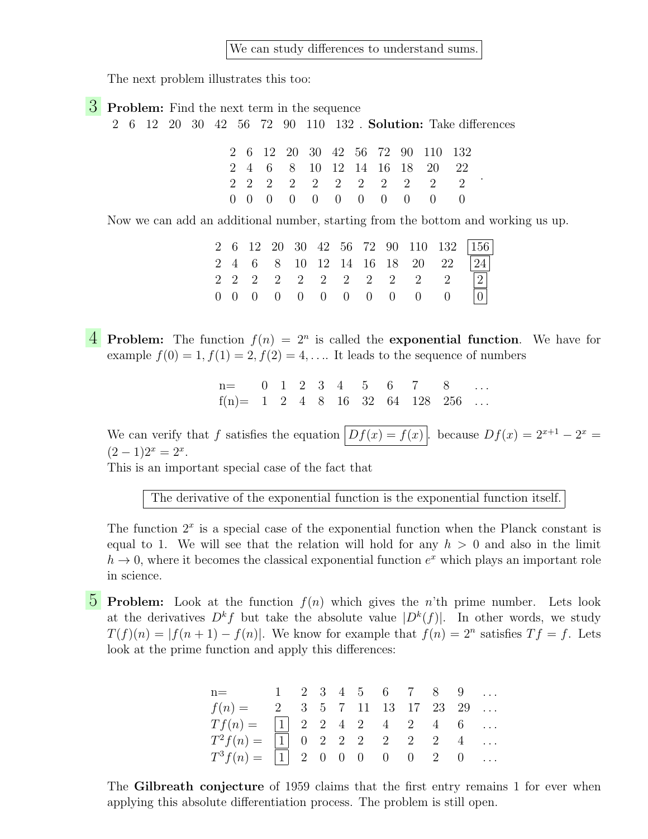We can study differences to understand sums.

The next problem illustrates this too:

**3** Problem: Find the next term in the sequence

2 6 12 20 30 42 56 72 90 110 132 . Solution: Take differences

|  |  |  |  | 2 6 12 20 30 42 56 72 90 110 132 |  |
|--|--|--|--|----------------------------------|--|
|  |  |  |  | 2 4 6 8 10 12 14 16 18 20 22     |  |
|  |  |  |  | 2 2 2 2 2 2 2 2 2 2 2            |  |
|  |  |  |  | 0 0 0 0 0 0 0 0 0 0 0            |  |

Now we can add an additional number, starting from the bottom and working us up.

|  |  |  |  |  | 2 6 12 20 30 42 56 72 90 110 132 156                  |
|--|--|--|--|--|-------------------------------------------------------|
|  |  |  |  |  | 2 4 6 8 10 12 14 16 18 20 22 $\boxed{24}$             |
|  |  |  |  |  | $2 \t2 \t2 \t2 \t2 \t2 \t2 \t2 \t2 \t2 \t2 \t2 \t 2 $ |
|  |  |  |  |  | $0$ 0 0 0 0 0 0 0 0 0 0 0 0                           |

**4** Problem: The function  $f(n) = 2^n$  is called the exponential function. We have for example  $f(0) = 1, f(1) = 2, f(2) = 4, \dots$  It leads to the sequence of numbers

> $n=$  0 1 2 3 4 5 6 7 8  $f(n)=$  1 2 4 8 16 32 64 128 256 ...

We can verify that f satisfies the equation  $|Df(x) = f(x)|$ . because  $Df(x) = 2^{x+1} - 2^x =$  $(2-1)2^{x} = 2^{x}.$ 

This is an important special case of the fact that

The derivative of the exponential function is the exponential function itself.

The function  $2<sup>x</sup>$  is a special case of the exponential function when the Planck constant is equal to 1. We will see that the relation will hold for any  $h > 0$  and also in the limit  $h \to 0$ , where it becomes the classical exponential function  $e^x$  which plays an important role in science.

**5** Problem: Look at the function  $f(n)$  which gives the n'th prime number. Lets look at the derivatives  $D^k f$  but take the absolute value  $|D^k(f)|$ . In other words, we study  $T(f)(n) = |f(n+1) - f(n)|$ . We know for example that  $f(n) = 2^n$  satisfies  $Tf = f$ . Lets look at the prime function and apply this differences:

| $n =$ 1 2 3 4 5 6 7 8 9                                                             |  |  |  |  |  |
|-------------------------------------------------------------------------------------|--|--|--|--|--|
| $f(n) =$ 2 3 5 7 11 13 17 23 29                                                     |  |  |  |  |  |
| $Tf(n) =  1  2 2 4 2 4 2 4 6 $                                                      |  |  |  |  |  |
| $T^2f(n) = \begin{bmatrix} 1 & 0 & 2 & 2 & 2 & 2 & 2 & 2 & 4 & \dots \end{bmatrix}$ |  |  |  |  |  |
| $T^3 f(n) =  1  2 0 0 0 0 0 2 0 $                                                   |  |  |  |  |  |

The Gilbreath conjecture of 1959 claims that the first entry remains 1 for ever when applying this absolute differentiation process. The problem is still open.